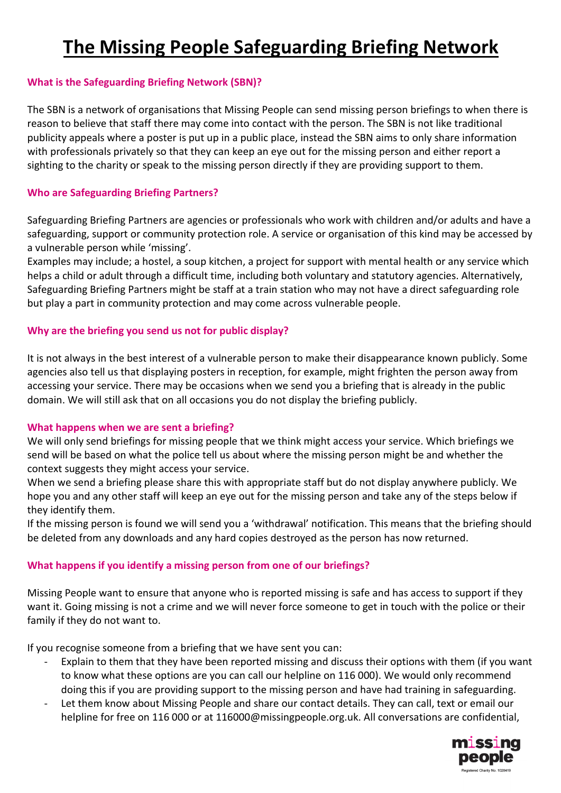# **The Missing People Safeguarding Briefing Network**

## **What is the Safeguarding Briefing Network (SBN)?**

The SBN is a network of organisations that Missing People can send missing person briefings to when there is reason to believe that staff there may come into contact with the person. The SBN is not like traditional publicity appeals where a poster is put up in a public place, instead the SBN aims to only share information with professionals privately so that they can keep an eye out for the missing person and either report a sighting to the charity or speak to the missing person directly if they are providing support to them.

## **Who are Safeguarding Briefing Partners?**

Safeguarding Briefing Partners are agencies or professionals who work with children and/or adults and have a safeguarding, support or community protection role. A service or organisation of this kind may be accessed by a vulnerable person while 'missing'.

Examples may include; a hostel, a soup kitchen, a project for support with mental health or any service which helps a child or adult through a difficult time, including both voluntary and statutory agencies. Alternatively, Safeguarding Briefing Partners might be staff at a train station who may not have a direct safeguarding role but play a part in community protection and may come across vulnerable people.

## **Why are the briefing you send us not for public display?**

It is not always in the best interest of a vulnerable person to make their disappearance known publicly. Some agencies also tell us that displaying posters in reception, for example, might frighten the person away from accessing your service. There may be occasions when we send you a briefing that is already in the public domain. We will still ask that on all occasions you do not display the briefing publicly.

#### **What happens when we are sent a briefing?**

We will only send briefings for missing people that we think might access your service. Which briefings we send will be based on what the police tell us about where the missing person might be and whether the context suggests they might access your service.

When we send a briefing please share this with appropriate staff but do not display anywhere publicly. We hope you and any other staff will keep an eye out for the missing person and take any of the steps below if they identify them.

If the missing person is found we will send you a 'withdrawal' notification. This means that the briefing should be deleted from any downloads and any hard copies destroyed as the person has now returned.

## **What happens if you identify a missing person from one of our briefings?**

Missing People want to ensure that anyone who is reported missing is safe and has access to support if they want it. Going missing is not a crime and we will never force someone to get in touch with the police or their family if they do not want to.

If you recognise someone from a briefing that we have sent you can:

- Explain to them that they have been reported missing and discuss their options with them (if you want to know what these options are you can call our helpline on 116 000). We would only recommend doing this if you are providing support to the missing person and have had training in safeguarding.
- Let them know about Missing People and share our contact details. They can call, text or email our helpline for free on 116 000 or at 116000@missingpeople.org.uk. All conversations are confidential,